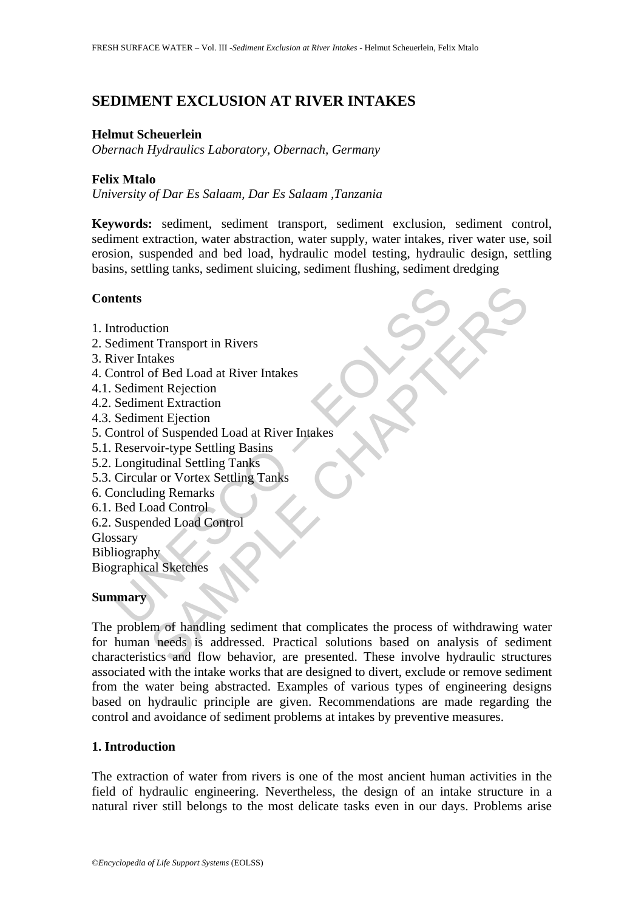# **SEDIMENT EXCLUSION AT RIVER INTAKES**

#### **Helmut Scheuerlein**

*Obernach Hydraulics Laboratory, Obernach, Germany* 

### **Felix Mtalo**

*University of Dar Es Salaam, Dar Es Salaam ,Tanzania* 

**Keywords:** sediment, sediment transport, sediment exclusion, sediment control, sediment extraction, water abstraction, water supply, water intakes, river water use, soil erosion, suspended and bed load, hydraulic model testing, hydraulic design, settling basins, settling tanks, sediment sluicing, sediment flushing, sediment dredging

### **Contents**

- 1. Introduction
- 2. Sediment Transport in Rivers
- 3. River Intakes
- 4. Control of Bed Load at River Intakes
- 4.1. Sediment Rejection
- 4.2. Sediment Extraction
- 4.3. Sediment Ejection
- The Material Street<br>
Introduction<br>
Explored Entrich Rivers<br>
Internal Transport in Rivers<br>
Sediment Rejection<br>
Sediment Extraction<br>
Sediment Extraction<br>
Sediment Extraction<br>
Circular or Vortex Settling Tanks<br>
Circular or Vo 5. Control of Suspended Load at River Intakes
- 5.1. Reservoir-type Settling Basins
- 5.2. Longitudinal Settling Tanks
- 5.3. Circular or Vortex Settling Tanks
- 6. Concluding Remarks
- 6.1. Bed Load Control
- 6.2. Suspended Load Control

Glossary

**Bibliography** 

Biographical Sketches

### **Summary**

The states of Bed Load at River Intakes<br>
and Expection<br>
the Rejection<br>
ent Expection<br>
ent Expection<br>
of Suspended Load at River Intakes<br>
our-type Settling Basins<br>
and Control<br>
and Sudded Load Control<br>
the and Control<br>
hy<br> The problem of handling sediment that complicates the process of withdrawing water for human needs is addressed. Practical solutions based on analysis of sediment characteristics and flow behavior, are presented. These involve hydraulic structures associated with the intake works that are designed to divert, exclude or remove sediment from the water being abstracted. Examples of various types of engineering designs based on hydraulic principle are given. Recommendations are made regarding the control and avoidance of sediment problems at intakes by preventive measures.

### **1. Introduction**

The extraction of water from rivers is one of the most ancient human activities in the field of hydraulic engineering. Nevertheless, the design of an intake structure in a natural river still belongs to the most delicate tasks even in our days. Problems arise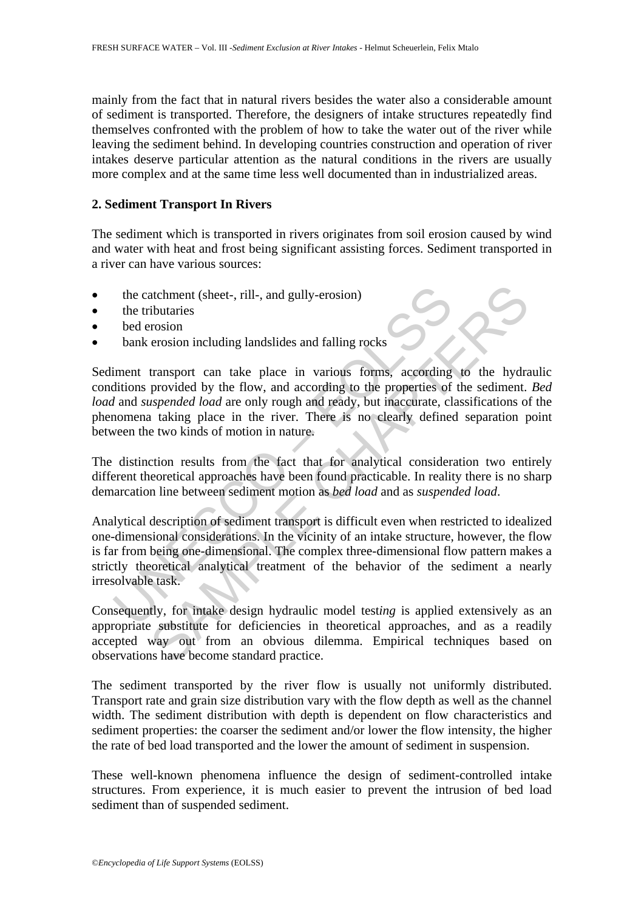mainly from the fact that in natural rivers besides the water also a considerable amount of sediment is transported. Therefore, the designers of intake structures repeatedly find themselves confronted with the problem of how to take the water out of the river while leaving the sediment behind. In developing countries construction and operation of river intakes deserve particular attention as the natural conditions in the rivers are usually more complex and at the same time less well documented than in industrialized areas.

#### **2. Sediment Transport In Rivers**

The sediment which is transported in rivers originates from soil erosion caused by wind and water with heat and frost being significant assisting forces. Sediment transported in a river can have various sources:

- the catchment (sheet-, rill-, and gully-erosion)
- the tributaries
- bed erosion
- bank erosion including landslides and falling rocks

the catchment (sheet-, rill-, and gully-erosion)<br>the tributaries<br>bed erosion<br>the tributaries<br>bed erosion<br>then transport can take place in various forms, according<br>ditions provided by the flow, and according to the properti atchment (sheet-, rill-, and gully-erosion)<br>
ibutaries<br>
erosion<br>
erosion<br>
erosion<br>
ibutaries<br>
transport can take place in various forms, according to the hydra<br>
provided by the flow, and according to the properties of the Sediment transport can take place in various forms, according to the hydraulic conditions provided by the flow, and according to the properties of the sediment. *Bed load* and *suspended load* are only rough and ready, but inaccurate, classifications of the phenomena taking place in the river. There is no clearly defined separation point between the two kinds of motion in nature.

The distinction results from the fact that for analytical consideration two entirely different theoretical approaches have been found practicable. In reality there is no sharp demarcation line between sediment motion as *bed load* and as *suspended load*.

Analytical description of sediment transport is difficult even when restricted to idealized one-dimensional considerations. In the vicinity of an intake structure, however, the flow is far from being one-dimensional. The complex three-dimensional flow pattern makes a strictly theoretical analytical treatment of the behavior of the sediment a nearly irresolvable task.

Consequently, for intake design hydraulic model test*ing* is applied extensively as an appropriate substitute for deficiencies in theoretical approaches, and as a readily accepted way out from an obvious dilemma. Empirical techniques based on observations have become standard practice.

The sediment transported by the river flow is usually not uniformly distributed. Transport rate and grain size distribution vary with the flow depth as well as the channel width. The sediment distribution with depth is dependent on flow characteristics and sediment properties: the coarser the sediment and/or lower the flow intensity, the higher the rate of bed load transported and the lower the amount of sediment in suspension.

These well-known phenomena influence the design of sediment-controlled intake structures. From experience, it is much easier to prevent the intrusion of bed load sediment than of suspended sediment.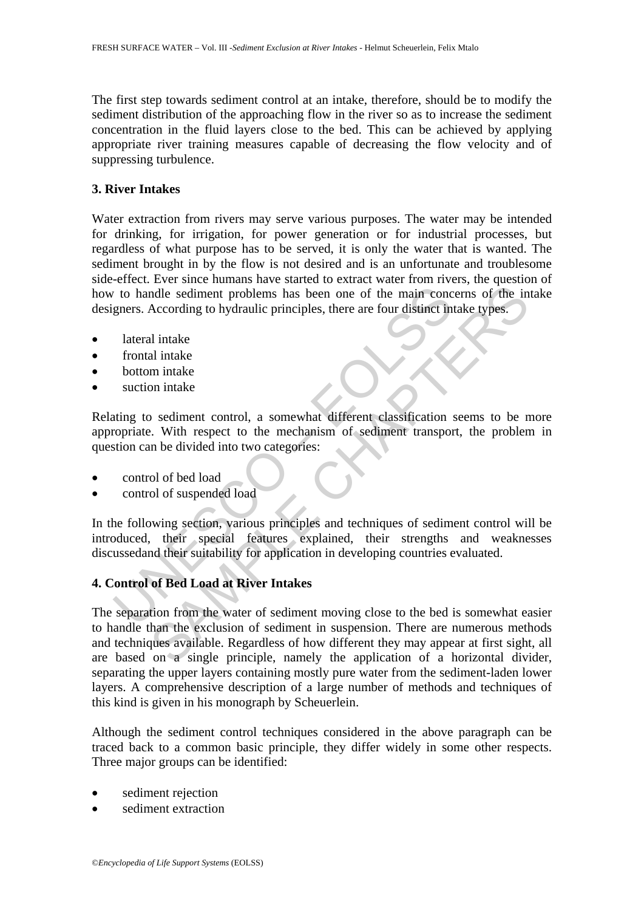The first step towards sediment control at an intake, therefore, should be to modify the sediment distribution of the approaching flow in the river so as to increase the sediment concentration in the fluid layers close to the bed. This can be achieved by applying appropriate river training measures capable of decreasing the flow velocity and of suppressing turbulence.

## **3. River Intakes**

Water extraction from rivers may serve various purposes. The water may be intended for drinking, for irrigation, for power generation or for industrial processes, but regardless of what purpose has to be served, it is only the water that is wanted. The sediment brought in by the flow is not desired and is an unfortunate and troublesome side-effect. Ever since humans have started to extract water from rivers, the question of how to handle sediment problems has been one of the main concerns of the intake designers. According to hydraulic principles, there are four distinct intake types.

- lateral intake
- frontal intake
- bottom intake
- suction intake

Relating to sediment control, a somewhat different classification seems to be more appropriate. With respect to the mechanism of sediment transport, the problem in question can be divided into two categories:

- control of bed load
- control of suspended load

The via handle sediment problems has been one of the main concepers. According to hydraulic principles, there are four distinct in lateral intake<br>trontal intake<br>trontal intake<br>trontal intake<br>suction intake<br>suction intake<br>s In the following section, various principles and techniques of sediment control will be introduced, their special features explained, their strengths and weaknesses discussedand their suitability for application in developing countries evaluated.

# **4. Control of Bed Load at River Intakes**

andle sediment problems has been one of the main concerns of the in<br>According to hydraulic principles, there are four distinct intake types.<br>
al intake<br>
al intake<br>
al intake<br>
m intake<br>
m intake<br>
m intake<br>
m intake<br>
m intak The separation from the water of sediment moving close to the bed is somewhat easier to handle than the exclusion of sediment in suspension. There are numerous methods and techniques available. Regardless of how different they may appear at first sight, all are based on a single principle, namely the application of a horizontal divider, separating the upper layers containing mostly pure water from the sediment-laden lower layers. A comprehensive description of a large number of methods and techniques of this kind is given in his monograph by Scheuerlein.

Although the sediment control techniques considered in the above paragraph can be traced back to a common basic principle, they differ widely in some other respects. Three major groups can be identified:

- sediment rejection
- sediment extraction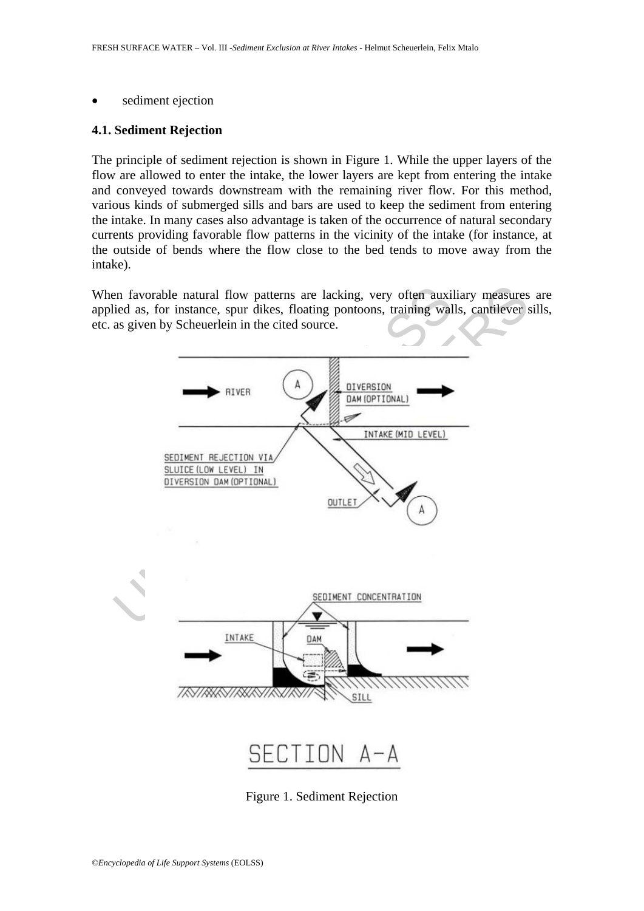sediment ejection

#### **4.1. Sediment Rejection**

The principle of sediment rejection is shown in Figure 1. While the upper layers of the flow are allowed to enter the intake, the lower layers are kept from entering the intake and conveyed towards downstream with the remaining river flow. For this method, various kinds of submerged sills and bars are used to keep the sediment from entering the intake. In many cases also advantage is taken of the occurrence of natural secondary currents providing favorable flow patterns in the vicinity of the intake (for instance, at the outside of bends where the flow close to the bed tends to move away from the intake).

When favorable natural flow patterns are lacking, very often auxiliary measures are applied as, for instance, spur dikes, floating pontoons, training walls, cantilever sills, etc. as given by Scheuerlein in the cited source.



Figure 1. Sediment Rejection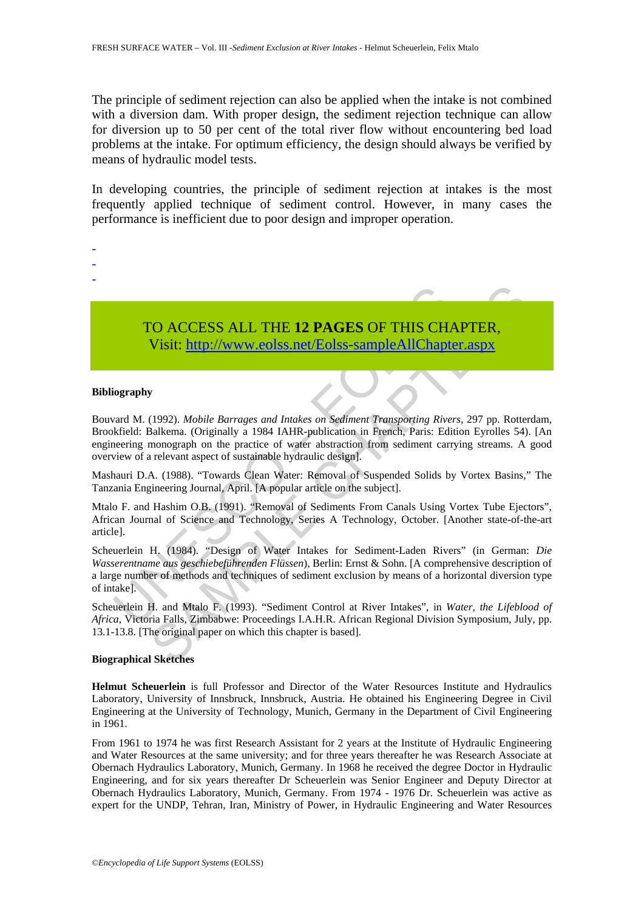The principle of sediment rejection can also be applied when the intake is not combined with a diversion dam. With proper design, the sediment rejection technique can allow for diversion up to 50 per cent of the total river flow without encountering bed load problems at the intake. For optimum efficiency, the design should always be verified by means of hydraulic model tests.

In developing countries, the principle of sediment rejection at intakes is the most frequently applied technique of sediment control. However, in many cases the performance is inefficient due to poor design and improper operation.



#### **Bibliography**

- - -

TO ACCESS ALL THE 12 PAGES OF THIS CHA<br>Visit: http://www.eolss.net/Eolss-sampleAllChapte<br>ward M. (1992). *Mobile Barrages and Intakes on Sediment Transporting Rive*<br>indefined: Balkema. (Originally a 1984 IAHR-publication i CO ACCESS ALL THE 12 PAGES OF THIS CHAP[TER](https://www.eolss.net/ebooklib/sc_cart.aspx?File=E2-07-05-04),<br>Visit: http://www.eolss.net/Eolss-sampleAllChapter.aspx<br>y<br>(1992). Mobile Barrages and Intakes on Sediment Transporting Rivers, 297 pp. Rotter<br>salkema. (Originally a 1984 IAHR-pub Bouvard M. (1992). *Mobile Barrages and Intakes on Sediment Transporting Rivers*, 297 pp. Rotterdam, Brookfield: Balkema. (Originally a 1984 IAHR-publication in French, Paris: Edition Eyrolles 54). [An engineering monograph on the practice of water abstraction from sediment carrying streams. A good overview of a relevant aspect of sustainable hydraulic design].

Mashauri D.A. (1988). "Towards Clean Water: Removal of Suspended Solids by Vortex Basins," The Tanzania Engineering Journal, April. [A popular article on the subject].

Mtalo F. and Hashim O.B. (1991). "Removal of Sediments From Canals Using Vortex Tube Ejectors", African Journal of Science and Technology, Series A Technology, October. [Another state-of-the-art article].

Scheuerlein H. (1984). "Design of Water Intakes for Sediment-Laden Rivers" (in German: *Die Wasserentname aus geschiebeführenden Flüssen*), Berlin: Ernst & Sohn. [A comprehensive description of a large number of methods and techniques of sediment exclusion by means of a horizontal diversion type of intake].

Scheuerlein H. and Mtalo F. (1993). "Sediment Control at River Intakes", in *Water, the Lifeblood of Africa*, Victoria Falls, Zimbabwe: Proceedings I.A.H.R. African Regional Division Symposium, July, pp. 13.1-13.8. [The original paper on which this chapter is based].

#### **Biographical Sketches**

**Helmut Scheuerlein** is full Professor and Director of the Water Resources Institute and Hydraulics Laboratory, University of Innsbruck, Innsbruck, Austria. He obtained his Engineering Degree in Civil Engineering at the University of Technology, Munich, Germany in the Department of Civil Engineering in 1961.

From 1961 to 1974 he was first Research Assistant for 2 years at the Institute of Hydraulic Engineering and Water Resources at the same university; and for three years thereafter he was Research Associate at Obernach Hydraulics Laboratory, Munich, Germany. In 1968 he received the degree Doctor in Hydraulic Engineering, and for six years thereafter Dr Scheuerlein was Senior Engineer and Deputy Director at Obernach Hydraulics Laboratory, Munich, Germany. From 1974 - 1976 Dr. Scheuerlein was active as expert for the UNDP, Tehran, Iran, Ministry of Power, in Hydraulic Engineering and Water Resources